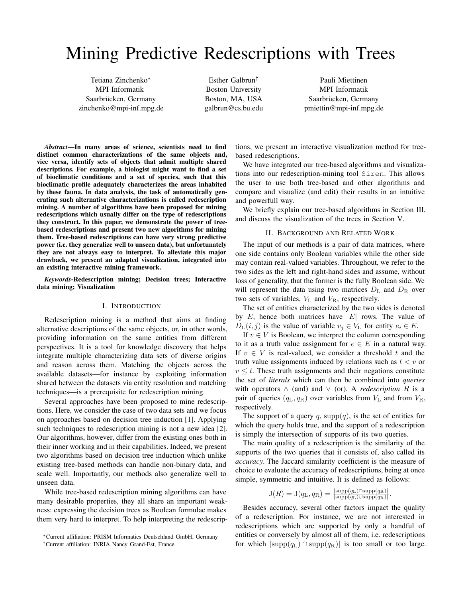# Mining Predictive Redescriptions with Trees

Tetiana Zinchenko∗ MPI Informatik Saarbrücken, Germany zinchenko@mpi-inf.mpg.de

Esther Galbrun† Boston University Boston, MA, USA galbrun@cs.bu.edu

Pauli Miettinen MPI Informatik Saarbrücken, Germany pmiettin@mpi-inf.mpg.de

*Abstract*—In many areas of science, scientists need to find distinct common characterizations of the same objects and, vice versa, identify sets of objects that admit multiple shared descriptions. For example, a biologist might want to find a set of bioclimatic conditions and a set of species, such that this bioclimatic profile adequately characterizes the areas inhabited by these fauna. In data analysis, the task of automatically generating such alternative characterizations is called redescription mining. A number of algorithms have been proposed for mining redescriptions which usually differ on the type of redescriptions they construct. In this paper, we demonstrate the power of treebased redescriptions and present two new algorithms for mining them. Tree-based redescriptions can have very strong predictive power (i.e. they generalize well to unseen data), but unfortunately they are not always easy to interpret. To alleviate this major drawback, we present an adapted visualization, integrated into an existing interactive mining framework.

*Keywords*-Redescription mining; Decision trees; Interactive data mining; Visualization

# I. INTRODUCTION

Redescription mining is a method that aims at finding alternative descriptions of the same objects, or, in other words, providing information on the same entities from different perspectives. It is a tool for knowledge discovery that helps integrate multiple characterizing data sets of diverse origins and reason across them. Matching the objects across the available datasets—for instance by exploiting information shared between the datasets via entity resolution and matching techniques—is a prerequisite for redescription mining.

Several approaches have been proposed to mine redescriptions. Here, we consider the case of two data sets and we focus on approaches based on decision tree induction [1]. Applying such techniques to redescription mining is not a new idea [2]. Our algorithms, however, differ from the existing ones both in their inner working and in their capabilities. Indeed, we present two algorithms based on decision tree induction which unlike existing tree-based methods can handle non-binary data, and scale well. Importantly, our methods also generalize well to unseen data.

While tree-based redescription mining algorithms can have many desirable properties, they all share an important weakness: expressing the decision trees as Boolean formulae makes them very hard to interpret. To help interpreting the redescriptions, we present an interactive visualization method for treebased redescriptions.

We have integrated our tree-based algorithms and visualizations into our redescription-mining tool Siren. This allows the user to use both tree-based and other algorithms and compare and visualize (and edit) their results in an intuitive and powerfull way.

We briefly explain our tree-based algorithms in Section III, and discuss the visualization of the trees in Section V.

# II. BACKGROUND AND RELATED WORK

The input of our methods is a pair of data matrices, where one side contains only Boolean variables while the other side may contain real-valued variables. Throughout, we refer to the two sides as the left and right-hand sides and assume, without loss of generality, that the former is the fully Boolean side. We will represent the data using two matrices  $D_{\rm L}$  and  $D_{\rm R}$  over two sets of variables, *V*<sup>L</sup> and *V*R, respectively.

The set of entities characterized by the two sides is denoted by  $E$ , hence both matrices have  $|E|$  rows. The value of *D*<sub>L</sub> $(i, j)$  is the value of variable  $v_j \in V_L$  for entity  $e_i \in E$ .

If  $v \in V$  is Boolean, we interpret the column corresponding to it as a truth value assignment for  $e \in E$  in a natural way. If  $v \in V$  is real-valued, we consider a threshold  $t$  and the truth value assignments induced by relations such as  $t < v$  or  $v \leq t$ . These truth assignments and their negations constitute the set of *literals* which can then be combined into *queries* with operators  $\wedge$  (and) and  $\vee$  (or). A *redescription* R is a pair of queries  $(q_L, q_R)$  over variables from  $V_L$  and from  $V_R$ , respectively.

The support of a query  $q$ , supp $(q)$ , is the set of entities for which the query holds true, and the support of a redescription is simply the intersection of supports of its two queries.

The main quality of a redescription is the similarity of the supports of the two queries that it consists of, also called its *accuracy*. The Jaccard similarity coefficient is the measure of choice to evaluate the accuracy of redescriptions, being at once simple, symmetric and intuitive. It is defined as follows:

$$
J(R) = J(q_L, q_R) = \frac{|\text{supp}(q_L) \cap \text{supp}(q_R)|}{|\text{supp}(q_L) \cup \text{supp}(q_R)|}.
$$

Besides accuracy, several other factors impact the quality of a redescription. For instance, we are not interested in redescriptions which are supported by only a handful of entities or conversely by almost all of them, i.e. redescriptions for which  $|\text{supp}(q_L) \cap \text{supp}(q_R)|$  is too small or too large.

<sup>∗</sup>Current affiliation: PRISM Informatics Deutschland GmbH, Germany

<sup>†</sup>Current affiliation: INRIA Nancy Grand-Est, France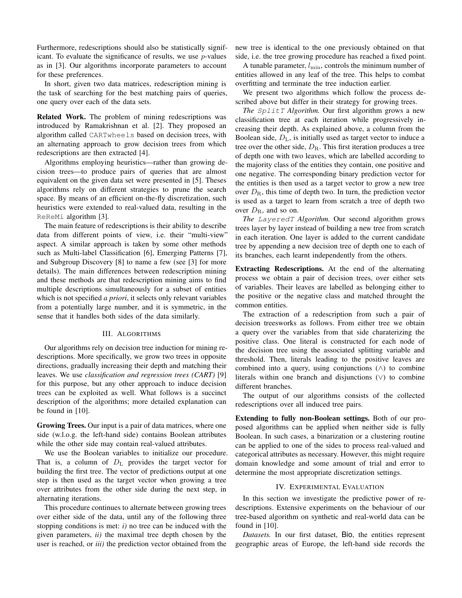Furthermore, redescriptions should also be statistically significant. To evaluate the significance of results, we use *p*-values as in [3]. Our algorithms incorporate parameters to account for these preferences.

In short, given two data matrices, redescription mining is the task of searching for the best matching pairs of queries, one query over each of the data sets.

Related Work. The problem of mining redescriptions was introduced by Ramakrishnan et al. [2]. They proposed an algorithm called CARTwheels based on decision trees, with an alternating approach to grow decision trees from which redescriptions are then extracted [4].

Algorithms employing heuristics—rather than growing decision trees—to produce pairs of queries that are almost equivalent on the given data set were presented in [5]. Theses algorithms rely on different strategies to prune the search space. By means of an efficient on-the-fly discretization, such heuristics were extended to real-valued data, resulting in the ReReMi algorithm [3].

The main feature of redescriptions is their ability to describe data from different points of view, i.e. their "multi-view" aspect. A similar approach is taken by some other methods such as Multi-label Classification [6], Emerging Patterns [7], and Subgroup Discovery [8] to name a few (see [3] for more details). The main differences between redescription mining and these methods are that redescription mining aims to find multiple descriptions simultaneously for a subset of entities which is not specified *a priori*, it selects only relevant variables from a potentially large number, and it is symmetric, in the sense that it handles both sides of the data similarly.

#### III. ALGORITHMS

Our algorithms rely on decision tree induction for mining redescriptions. More specifically, we grow two trees in opposite directions, gradually increasing their depth and matching their leaves. We use *classification and regression trees (CART)* [9] for this purpose, but any other approach to induce decision trees can be exploited as well. What follows is a succinct description of the algorithms; more detailed explanation can be found in [10].

Growing Trees. Our input is a pair of data matrices, where one side (w.l.o.g. the left-hand side) contains Boolean attributes while the other side may contain real-valued attributes.

We use the Boolean variables to initialize our procedure. That is, a column of  $D_{\text{L}}$  provides the target vector for building the first tree. The vector of predictions output at one step is then used as the target vector when growing a tree over attributes from the other side during the next step, in alternating iterations.

This procedure continues to alternate between growing trees over either side of the data, until any of the following three stopping conditions is met:  $i$ ) no tree can be induced with the given parameters, *ii)* the maximal tree depth chosen by the user is reached, or *iii)* the prediction vector obtained from the new tree is identical to the one previously obtained on that side, i.e. the tree growing procedure has reached a fixed point.

A tunable parameter,  $l_{\min}$ , controls the minimum number of entities allowed in any leaf of the tree. This helps to combat overfitting and terminate the tree induction earlier.

We present two algorithms which follow the process described above but differ in their strategy for growing trees.

*The SplitT Algorithm.* Our first algorithm grows a new classification tree at each iteration while progressively increasing their depth. As explained above, a column from the Boolean side, *D*L, is initially used as target vector to induce a tree over the other side,  $D_{\rm R}$ . This first iteration produces a tree of depth one with two leaves, which are labelled according to the majority class of the entities they contain, one positive and one negative. The corresponding binary prediction vector for the entities is then used as a target vector to grow a new tree over  $D_{\rm R}$ , this time of depth two. In turn, the prediction vector is used as a target to learn from scratch a tree of depth two over  $D_{\rm R}$ , and so on.

*The LayeredT Algorithm.* Our second algorithm grows trees layer by layer instead of building a new tree from scratch in each iteration. One layer is added to the current candidate tree by appending a new decision tree of depth one to each of its branches, each learnt independently from the others.

Extracting Redescriptions. At the end of the alternating process we obtain a pair of decision trees, over either sets of variables. Their leaves are labelled as belonging either to the positive or the negative class and matched throught the common entities.

The extraction of a redescription from such a pair of decision treesworks as follows. From either tree we obtain a query over the variables from that side charaterizing the positive class. One literal is constructed for each node of the decision tree using the associated splitting variable and threshold. Then, literals leading to the positive leaves are combined into a query, using conjunctions  $( \wedge )$  to combine literals within one branch and disjunctions (∨) to combine different branches.

The output of our algorithms consists of the collected redescriptions over all induced tree pairs.

Extending to fully non-Boolean settings. Both of our proposed algorithms can be applied when neither side is fully Boolean. In such cases, a binarization or a clustering routine can be applied to one of the sides to process real-valued and categorical attributes as necessary. However, this might require domain knowledge and some amount of trial and error to determine the most appropriate discretization settings.

#### IV. EXPERIMENTAL EVALUATION

In this section we investigate the predictive power of redescriptions. Extensive experiments on the behaviour of our tree-based algorithm on synthetic and real-world data can be found in [10].

*Datasets.* In our first dataset, Bio, the entities represent geographic areas of Europe, the left-hand side records the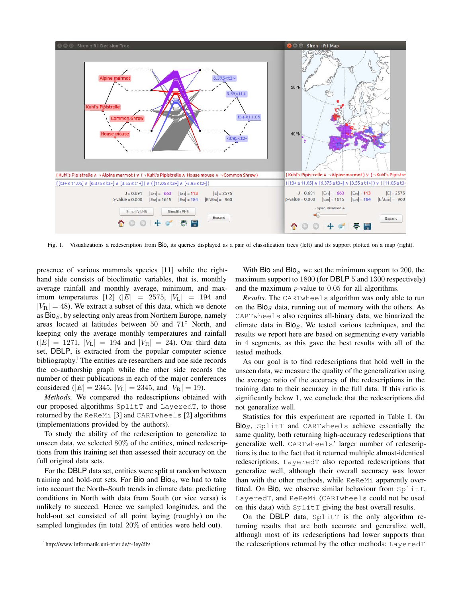

Fig. 1. Visualizations a redescription from Bio, its queries displayed as a pair of classification trees (left) and its support plotted on a map (right).

presence of various mammals species [11] while the righthand side consists of bioclimatic variables, that is, monthly average rainfall and monthly average, minimum, and maximum temperatures [12] (|*E*| = 2575, |*V*L| = 194 and  $|V_{\rm R}| = 48$ ). We extract a subset of this data, which we denote as Bio*<sup>S</sup>* , by selecting only areas from Northern Europe, namely areas located at latitudes between 50 and 71◦ North, and keeping only the average monthly temperatures and rainfall  $(|E| = 1271, |V_L| = 194$  and  $|V_R| = 24$ ). Our third data set, DBLP, is extracted from the popular computer science bibliography.<sup>1</sup> The entities are researchers and one side records the co-authorship graph while the other side records the number of their publications in each of the major conferences considered ( $|E| = 2345$ ,  $|V_L| = 2345$ , and  $|V_R| = 19$ ).

*Methods.* We compared the redescriptions obtained with our proposed algorithms SplitT and LayeredT, to those returned by the ReReMi [3] and CARTwheels [2] algorithms (implementations provided by the authors).

To study the ability of the redescription to generalize to unseen data, we selected 80% of the entities, mined redescriptions from this training set then assessed their accuracy on the full original data sets.

For the DBLP data set, entities were split at random between training and hold-out sets. For Bio and Bio*<sup>S</sup>* , we had to take into account the North–South trends in climate data: predicting conditions in North with data from South (or vice versa) is unlikely to succeed. Hence we sampled longitudes, and the hold-out set consisted of all point laying (roughly) on the sampled longitudes (in total 20% of entities were held out).

With Bio and Bio*<sup>S</sup>* we set the minimum support to 200, the maximum support to 1800 (for DBLP 5 and 1300 respectively) and the maximum *p*-value to 0*.*05 for all algorithms.

*Results.* The CARTwheels algorithm was only able to run on the Bio*<sup>S</sup>* data, running out of memory with the others. As CARTwheels also requires all-binary data, we binarized the climate data in Bio*<sup>S</sup>* . We tested various techniques, and the results we report here are based on segmenting every variable in 4 segments, as this gave the best results with all of the tested methods.

As our goal is to find redescriptions that hold well in the unseen data, we measure the quality of the generalization using the average ratio of the accuracy of the redescriptions in the training data to their accuracy in the full data. If this ratio is significantly below 1, we conclude that the redescriptions did not generalize well.

Statistics for this experiment are reported in Table I. On Bio*<sup>S</sup>* , SplitT and CARTwheels achieve essentially the same quality, both returning high-accuracy redescriptions that generalize well. CARTwheels' larger number of redescriptions is due to the fact that it returned multiple almost-identical redescriptions. LayeredT also reported redescriptions that generalize well, although their overall accuracy was lower than with the other methods, while ReReMi apparently overfitted. On Bio, we observe similar behaviour from SplitT, LayeredT, and ReReMi (CARTwheels could not be used on this data) with SplitT giving the best overall results.

On the DBLP data, SplitT is the only algorithm returning results that are both accurate and generalize well, although most of its redescriptions had lower supports than the redescriptions returned by the other methods: LayeredT

<sup>1</sup>http://www.informatik.uni-trier.de/∼ley/db/